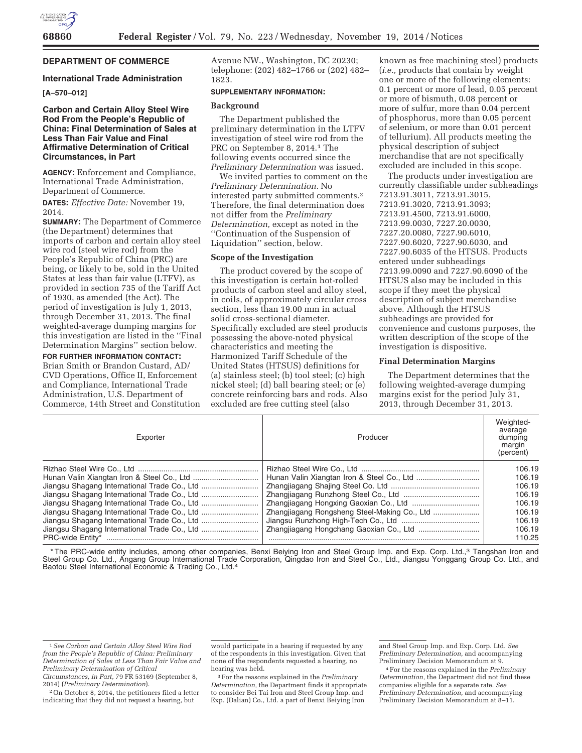

# **DEPARTMENT OF COMMERCE**

### **International Trade Administration**

# **[A–570–012]**

# **Carbon and Certain Alloy Steel Wire Rod From the People's Republic of China: Final Determination of Sales at Less Than Fair Value and Final Affirmative Determination of Critical Circumstances, in Part**

**AGENCY:** Enforcement and Compliance, International Trade Administration, Department of Commerce.

**DATES:** *Effective Date:* November 19, 2014.

**SUMMARY:** The Department of Commerce (the Department) determines that imports of carbon and certain alloy steel wire rod (steel wire rod) from the People's Republic of China (PRC) are being, or likely to be, sold in the United States at less than fair value (LTFV), as provided in section 735 of the Tariff Act of 1930, as amended (the Act). The period of investigation is July 1, 2013, through December 31, 2013. The final weighted-average dumping margins for this investigation are listed in the ''Final Determination Margins'' section below.

# **FOR FURTHER INFORMATION CONTACT:**

Brian Smith or Brandon Custard, AD/ CVD Operations, Office II, Enforcement and Compliance, International Trade Administration, U.S. Department of Commerce, 14th Street and Constitution Avenue NW., Washington, DC 20230; telephone: (202) 482–1766 or (202) 482– 1823.

# **SUPPLEMENTARY INFORMATION:**

## **Background**

The Department published the preliminary determination in the LTFV investigation of steel wire rod from the PRC on September 8, 2014.<sup>1</sup> The following events occurred since the *Preliminary Determination* was issued.

We invited parties to comment on the *Preliminary Determination.* No interested party submitted comments.2 Therefore, the final determination does not differ from the *Preliminary Determination,* except as noted in the ''Continuation of the Suspension of Liquidation'' section, below.

## **Scope of the Investigation**

The product covered by the scope of this investigation is certain hot-rolled products of carbon steel and alloy steel, in coils, of approximately circular cross section, less than 19.00 mm in actual solid cross-sectional diameter. Specifically excluded are steel products possessing the above-noted physical characteristics and meeting the Harmonized Tariff Schedule of the United States (HTSUS) definitions for (a) stainless steel; (b) tool steel; (c) high nickel steel; (d) ball bearing steel; or (e) concrete reinforcing bars and rods. Also excluded are free cutting steel (also

known as free machining steel) products (*i.e.,* products that contain by weight one or more of the following elements: 0.1 percent or more of lead, 0.05 percent or more of bismuth, 0.08 percent or more of sulfur, more than 0.04 percent of phosphorus, more than 0.05 percent of selenium, or more than 0.01 percent of tellurium). All products meeting the physical description of subject merchandise that are not specifically excluded are included in this scope.

The products under investigation are currently classifiable under subheadings 7213.91.3011, 7213.91.3015, 7213.91.3020, 7213.91.3093; 7213.91.4500, 7213.91.6000, 7213.99.0030, 7227.20.0030, 7227.20.0080, 7227.90.6010, 7227.90.6020, 7227.90.6030, and 7227.90.6035 of the HTSUS. Products entered under subheadings 7213.99.0090 and 7227.90.6090 of the HTSUS also may be included in this scope if they meet the physical description of subject merchandise above. Although the HTSUS subheadings are provided for convenience and customs purposes, the written description of the scope of the investigation is dispositive.

### **Final Determination Margins**

The Department determines that the following weighted-average dumping margins exist for the period July 31, 2013, through December 31, 2013.

| Exporter         | Producer | Weighted-<br>average<br>dumping<br>margin<br>(percent) |
|------------------|----------|--------------------------------------------------------|
|                  |          | 106.19                                                 |
|                  |          | 106.19                                                 |
|                  |          | 106.19                                                 |
|                  |          | 106.19                                                 |
|                  |          | 106.19                                                 |
|                  |          | 106.19                                                 |
|                  |          | 106.19                                                 |
|                  |          | 106.19                                                 |
| PRC-wide Entity* |          | 110.25                                                 |

\* The PRC-wide entity includes, among other companies, Benxi Beiying Iron and Steel Group Imp. and Exp. Corp. Ltd.,3 Tangshan Iron and Steel Group Co. Ltd., Angang Group International Trade Corporation, Qingdao Iron and Steel Co., Ltd., Jiangsu Yonggang Group Co. Ltd., and Baotou Steel International Economic & Trading Co., Ltd.4

<sup>1</sup>*See Carbon and Certain Alloy Steel Wire Rod from the People's Republic of China: Preliminary Determination of Sales at Less Than Fair Value and Preliminary Determination of Critical* 

*Circumstances, in Part,* 79 FR 53169 (September 8, 2014) (*Preliminary Determination*).

<sup>2</sup>On October 8, 2014, the petitioners filed a letter indicating that they did not request a hearing, but

would participate in a hearing if requested by any of the respondents in this investigation. Given that none of the respondents requested a hearing, no hearing was held.

<sup>3</sup>For the reasons explained in the *Preliminary Determination,* the Department finds it appropriate to consider Bei Tai Iron and Steel Group Imp. and Exp. (Dalian) Co., Ltd. a part of Benxi Beiying Iron

and Steel Group Imp. and Exp. Corp. Ltd. *See Preliminary Determination,* and accompanying Preliminary Decision Memorandum at 9.

<sup>4</sup>For the reasons explained in the *Preliminary Determination,* the Department did not find these companies eligible for a separate rate. *See Preliminary Determination,* and accompanying Preliminary Decision Memorandum at 8–11.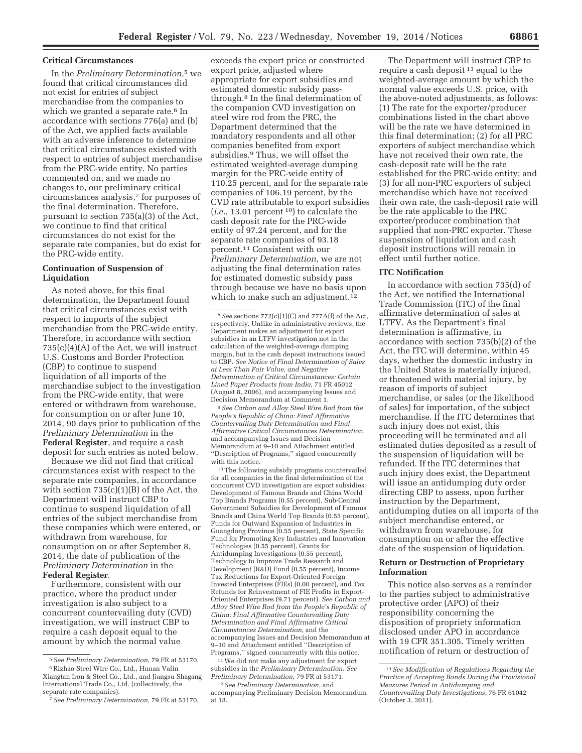## **Critical Circumstances**

In the *Preliminary Determination,*5 we found that critical circumstances did not exist for entries of subject merchandise from the companies to which we granted a separate rate.<sup>6</sup> In accordance with sections 776(a) and (b) of the Act, we applied facts available with an adverse inference to determine that critical circumstances existed with respect to entries of subject merchandise from the PRC-wide entity. No parties commented on, and we made no changes to, our preliminary critical circumstances analysis,7 for purposes of the final determination. Therefore, pursuant to section 735(a)(3) of the Act, we continue to find that critical circumstances do not exist for the separate rate companies, but do exist for the PRC-wide entity.

# **Continuation of Suspension of Liquidation**

As noted above, for this final determination, the Department found that critical circumstances exist with respect to imports of the subject merchandise from the PRC-wide entity. Therefore, in accordance with section 735(c)(4)(A) of the Act, we will instruct U.S. Customs and Border Protection (CBP) to continue to suspend liquidation of all imports of the merchandise subject to the investigation from the PRC-wide entity, that were entered or withdrawn from warehouse, for consumption on or after June 10, 2014, 90 days prior to publication of the *Preliminary Determination* in the **Federal Register**, and require a cash deposit for such entries as noted below.

Because we did not find that critical circumstances exist with respect to the separate rate companies, in accordance with section  $735(c)(1)(B)$  of the Act, the Department will instruct CBP to continue to suspend liquidation of all entries of the subject merchandise from these companies which were entered, or withdrawn from warehouse, for consumption on or after September 8, 2014, the date of publication of the *Preliminary Determination* in the **Federal Register**.

Furthermore, consistent with our practice, where the product under investigation is also subject to a concurrent countervailing duty (CVD) investigation, we will instruct CBP to require a cash deposit equal to the amount by which the normal value

exceeds the export price or constructed export price, adjusted where appropriate for export subsidies and estimated domestic subsidy passthrough.8 In the final determination of the companion CVD investigation on steel wire rod from the PRC, the Department determined that the mandatory respondents and all other companies benefited from export subsidies.9 Thus, we will offset the estimated weighted-average dumping margin for the PRC-wide entity of 110.25 percent, and for the separate rate companies of 106.19 percent, by the CVD rate attributable to export subsidies (*i.e.*, 13.01 percent 10) to calculate the cash deposit rate for the PRC-wide entity of 97.24 percent, and for the separate rate companies of 93.18 percent.11 Consistent with our *Preliminary Determination*, we are not adjusting the final determination rates for estimated domestic subsidy pass through because we have no basis upon which to make such an adjustment.<sup>12</sup>

9*See Carbon and Alloy Steel Wire Rod from the People's Republic of China: Final Affirmative Countervailing Duty Determination and Final Affirmative Critical Circumstances Determination*, and accompanying Issues and Decision Memorandum at 9–10 and Attachment entitled ''Description of Programs,'' signed concurrently with this notice.

10The following subsidy programs countervailed for all companies in the final determination of the concurrent CVD investigation are export subsidies: Development of Famous Brands and China World Top Brands Programs (0.55 percent), Sub-Central Government Subsidies for Development of Famous Brands and China World Top Brands (0.55 percent), Funds for Outward Expansion of Industries in Guangdong Province (0.55 percent), State Specific Fund for Promoting Key Industries and Innovation Technologies (0.55 percent), Grants for Antidumping Investigations (0.55 percent), Technology to Improve Trade Research and Development (R&D) Fund (0.55 percent), Income Tax Reductions for Export-Oriented Foreign Invested Enterprises (FIEs) (0.00 percent), and Tax Refunds for Reinvestment of FIE Profits in Export-Oriented Enterprises (9.71 percent). *See Carbon and Alloy Steel Wire Rod from the People's Republic of China: Final Affirmative Countervailing Duty Determination and Final Affirmative Critical Circumstances Determination*, and the accompanying Issues and Decision Memorandum at 9–10 and Attachment entitled ''Description of Programs,'' signed concurrently with this notice.

11We did not make any adjustment for export subsidies in the *Preliminary Determination. See Preliminary Determination*, 79 FR at 53171.

12*See Preliminary Determination*, and accompanying Preliminary Decision Memorandum at 18.

The Department will instruct CBP to require a cash deposit 13 equal to the weighted-average amount by which the normal value exceeds U.S. price, with the above-noted adjustments, as follows: (1) The rate for the exporter/producer combinations listed in the chart above will be the rate we have determined in this final determination; (2) for all PRC exporters of subject merchandise which have not received their own rate, the cash-deposit rate will be the rate established for the PRC-wide entity; and (3) for all non-PRC exporters of subject merchandise which have not received their own rate, the cash-deposit rate will be the rate applicable to the PRC exporter/producer combination that supplied that non-PRC exporter. These suspension of liquidation and cash deposit instructions will remain in effect until further notice.

### **ITC Notification**

In accordance with section 735(d) of the Act, we notified the International Trade Commission (ITC) of the final affirmative determination of sales at LTFV. As the Department's final determination is affirmative, in accordance with section 735(b)(2) of the Act, the ITC will determine, within 45 days, whether the domestic industry in the United States is materially injured, or threatened with material injury, by reason of imports of subject merchandise, or sales (or the likelihood of sales) for importation, of the subject merchandise. If the ITC determines that such injury does not exist, this proceeding will be terminated and all estimated duties deposited as a result of the suspension of liquidation will be refunded. If the ITC determines that such injury does exist, the Department will issue an antidumping duty order directing CBP to assess, upon further instruction by the Department, antidumping duties on all imports of the subject merchandise entered, or withdrawn from warehouse, for consumption on or after the effective date of the suspension of liquidation.

### **Return or Destruction of Proprietary Information**

This notice also serves as a reminder to the parties subject to administrative protective order (APO) of their responsibility concerning the disposition of propriety information disclosed under APO in accordance with 19 CFR 351.305. Timely written notification of return or destruction of

<sup>5</sup>*See Preliminary Determination,* 79 FR at 53170. 6Rizhao Steel Wire Co., Ltd., Hunan Valin Xiangtan Iron & Steel Co., Ltd., and Jiangsu Shagang International Trade Co., Ltd. (collectively, the separate rate companies).

<sup>7</sup>*See Preliminary Determination,* 79 FR at 53170.

<sup>8</sup>*See* sections 772(c)(1)(C) and 777A(f) of the Act, respectively. Unlike in administrative reviews, the Department makes an adjustment for export subsidies in an LTFV investigation not in the calculation of the weighted-average dumping margin, but in the cash deposit instructions issued to CBP. *See Notice of Final Determination of Sales at Less Than Fair Value, and Negative Determination of Critical Circumstances: Certain Lined Paper Products from India*, 71 FR 45012 (August 8, 2006), and accompanying Issues and Decision Memorandum at Comment 1.

<sup>13</sup>*See Modification of Regulations Regarding the Practice of Accepting Bonds During the Provisional Measures Period in Antidumping and Countervailing Duty Investigations*, 76 FR 61042 (October 3, 2011).